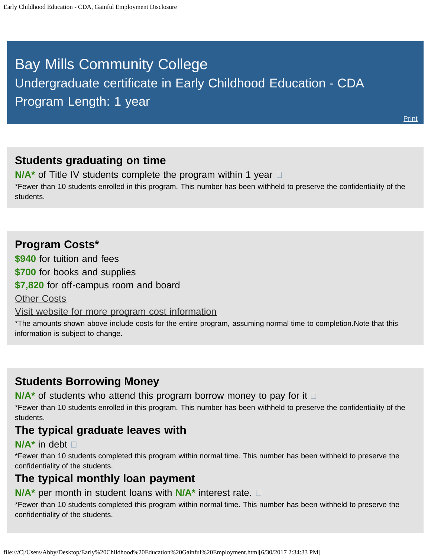# <span id="page-0-0"></span>Bay Mills Community College Undergraduate certificate in Early Childhood Education - CDA Program Length: 1 year

### **Students graduating on time**

**N/A<sup>\*</sup>** of Title IV students complete the program within 1 year  $\Box$ \*Fewer than 10 students enrolled in this program. This number has been withheld to preserve the confidentiality of the students.

### **Program Costs\***

**\$940** for tuition and fees

**\$700** for books and supplies

**\$7,820** for off-campus room and board

**[Other Costs](#page-0-0)** 

[Visit website for more program cost information](http://bmcc.edu/admissions/financial-aid/understanding-tuition)

\*The amounts shown above include costs for the entire program, assuming normal time to completion.Note that this information is subject to change.

### **Students Borrowing Money**

**N/A<sup>★</sup>** of students who attend this program borrow money to pay for it □

\*Fewer than 10 students enrolled in this program. This number has been withheld to preserve the confidentiality of the students.

### **The typical graduate leaves with**

#### **N/A\*** in debt

\*Fewer than 10 students completed this program within normal time. This number has been withheld to preserve the confidentiality of the students.

# **The typical monthly loan payment**

#### **N/A\*** per month in student loans with **N/A\*** interest rate.

\*Fewer than 10 students completed this program within normal time. This number has been withheld to preserve the confidentiality of the students.